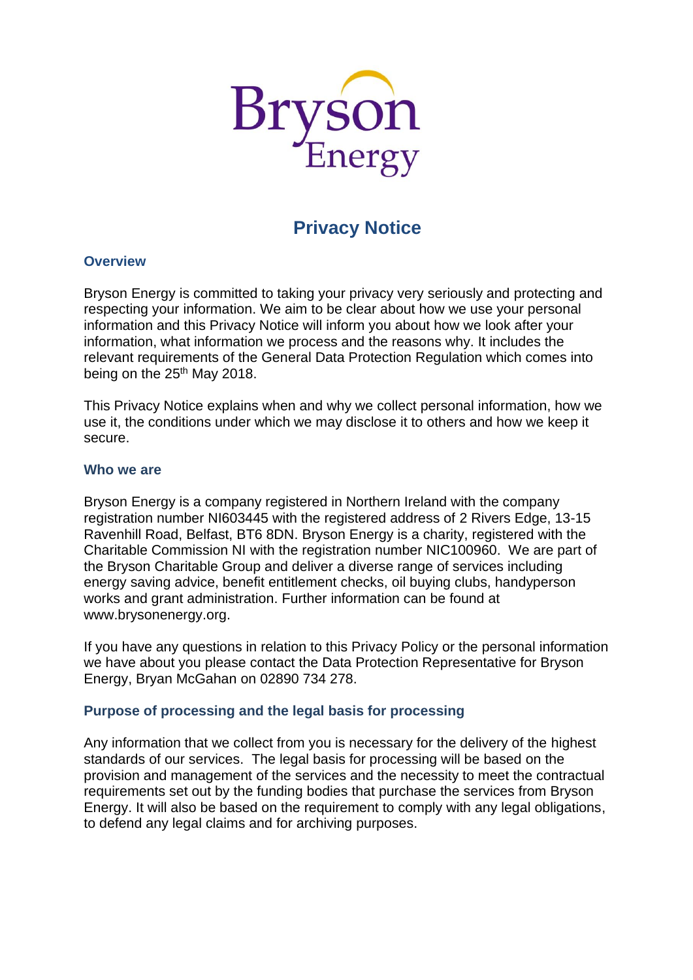

# **Privacy Notice**

#### **Overview**

Bryson Energy is committed to taking your privacy very seriously and protecting and respecting your information. We aim to be clear about how we use your personal information and this Privacy Notice will inform you about how we look after your information, what information we process and the reasons why. It includes the relevant requirements of the General Data Protection Regulation which comes into being on the 25<sup>th</sup> May 2018.

This Privacy Notice explains when and why we collect personal information, how we use it, the conditions under which we may disclose it to others and how we keep it secure.

#### **Who we are**

Bryson Energy is a company registered in Northern Ireland with the company registration number NI603445 with the registered address of 2 Rivers Edge, 13-15 Ravenhill Road, Belfast, BT6 8DN. Bryson Energy is a charity, registered with the Charitable Commission NI with the registration number NIC100960. We are part of the Bryson Charitable Group and deliver a diverse range of services including energy saving advice, benefit entitlement checks, oil buying clubs, handyperson works and grant administration. Further information can be found at www.brysonenergy.org.

If you have any questions in relation to this Privacy Policy or the personal information we have about you please contact the Data Protection Representative for Bryson Energy, Bryan McGahan on 02890 734 278.

# **Purpose of processing and the legal basis for processing**

Any information that we collect from you is necessary for the delivery of the highest standards of our services. The legal basis for processing will be based on the provision and management of the services and the necessity to meet the contractual requirements set out by the funding bodies that purchase the services from Bryson Energy. It will also be based on the requirement to comply with any legal obligations, to defend any legal claims and for archiving purposes.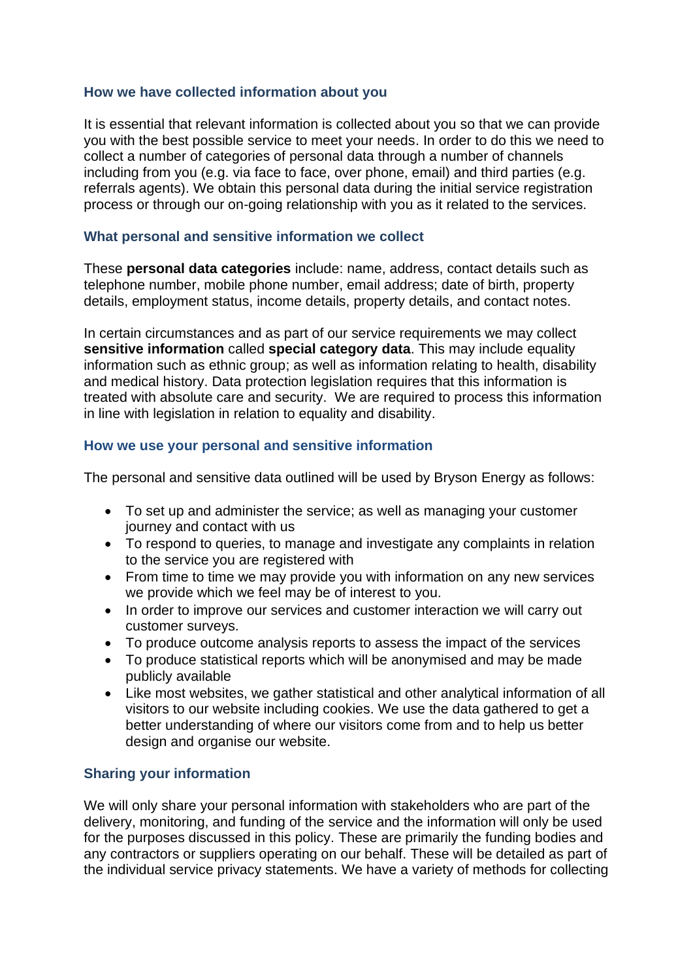## **How we have collected information about you**

It is essential that relevant information is collected about you so that we can provide you with the best possible service to meet your needs. In order to do this we need to collect a number of categories of personal data through a number of channels including from you (e.g. via face to face, over phone, email) and third parties (e.g. referrals agents). We obtain this personal data during the initial service registration process or through our on-going relationship with you as it related to the services.

## **What personal and sensitive information we collect**

These **personal data categories** include: name, address, contact details such as telephone number, mobile phone number, email address; date of birth, property details, employment status, income details, property details, and contact notes.

In certain circumstances and as part of our service requirements we may collect **sensitive information** called **special category data**. This may include equality information such as ethnic group; as well as information relating to health, disability and medical history. Data protection legislation requires that this information is treated with absolute care and security. We are required to process this information in line with legislation in relation to equality and disability.

#### **How we use your personal and sensitive information**

The personal and sensitive data outlined will be used by Bryson Energy as follows:

- To set up and administer the service; as well as managing your customer journey and contact with us
- To respond to queries, to manage and investigate any complaints in relation to the service you are registered with
- From time to time we may provide you with information on any new services we provide which we feel may be of interest to you.
- In order to improve our services and customer interaction we will carry out customer surveys.
- To produce outcome analysis reports to assess the impact of the services
- To produce statistical reports which will be anonymised and may be made publicly available
- Like most websites, we gather statistical and other analytical information of all visitors to our website including cookies. We use the data gathered to get a better understanding of where our visitors come from and to help us better design and organise our website.

## **Sharing your information**

We will only share your personal information with stakeholders who are part of the delivery, monitoring, and funding of the service and the information will only be used for the purposes discussed in this policy. These are primarily the funding bodies and any contractors or suppliers operating on our behalf. These will be detailed as part of the individual service privacy statements. We have a variety of methods for collecting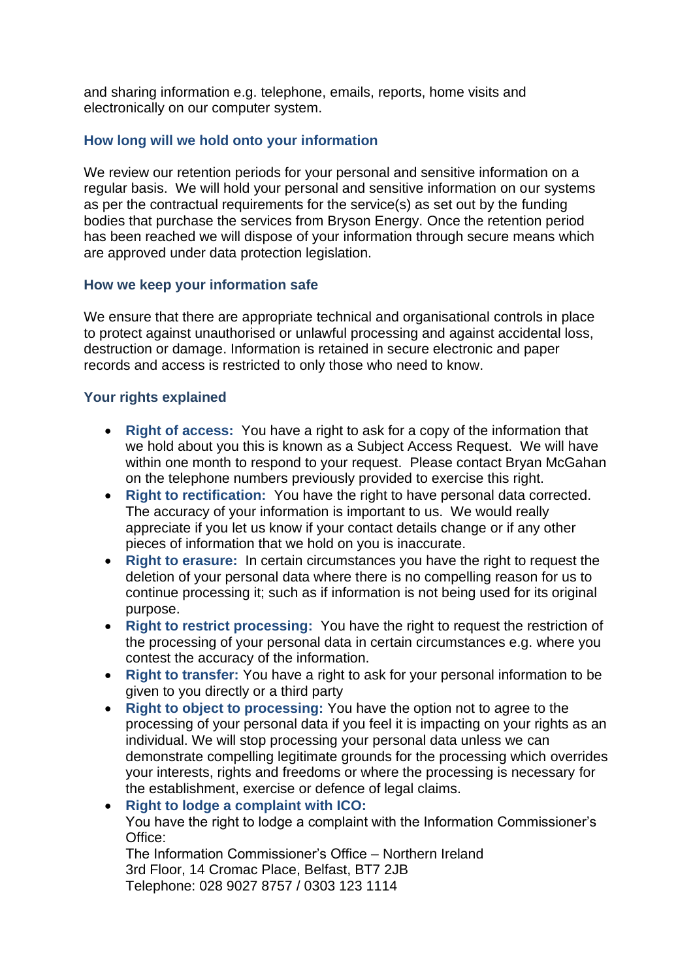and sharing information e.g. telephone, emails, reports, home visits and electronically on our computer system.

# **How long will we hold onto your information**

We review our retention periods for your personal and sensitive information on a regular basis. We will hold your personal and sensitive information on our systems as per the contractual requirements for the service(s) as set out by the funding bodies that purchase the services from Bryson Energy. Once the retention period has been reached we will dispose of your information through secure means which are approved under data protection legislation.

# **How we keep your information safe**

We ensure that there are appropriate technical and organisational controls in place to protect against unauthorised or unlawful processing and against accidental loss, destruction or damage. Information is retained in secure electronic and paper records and access is restricted to only those who need to know.

# **Your rights explained**

- **Right of access:** You have a right to ask for a copy of the information that we hold about you this is known as a Subject Access Request. We will have within one month to respond to your request. Please contact Bryan McGahan on the telephone numbers previously provided to exercise this right.
- **Right to rectification:** You have the right to have personal data corrected. The accuracy of your information is important to us. We would really appreciate if you let us know if your contact details change or if any other pieces of information that we hold on you is inaccurate.
- **Right to erasure:** In certain circumstances you have the right to request the deletion of your personal data where there is no compelling reason for us to continue processing it; such as if information is not being used for its original purpose.
- **Right to restrict processing:** You have the right to request the restriction of the processing of your personal data in certain circumstances e.g. where you contest the accuracy of the information.
- **Right to transfer:** You have a right to ask for your personal information to be given to you directly or a third party
- **Right to object to processing:** You have the option not to agree to the processing of your personal data if you feel it is impacting on your rights as an individual. We will stop processing your personal data unless we can demonstrate compelling legitimate grounds for the processing which overrides your interests, rights and freedoms or where the processing is necessary for the establishment, exercise or defence of legal claims.

• **Right to lodge a complaint with ICO:** You have the right to lodge a complaint with the Information Commissioner's Office: The Information Commissioner's Office – Northern Ireland 3rd Floor, 14 Cromac Place, Belfast, BT7 2JB Telephone: 028 9027 8757 / 0303 123 1114